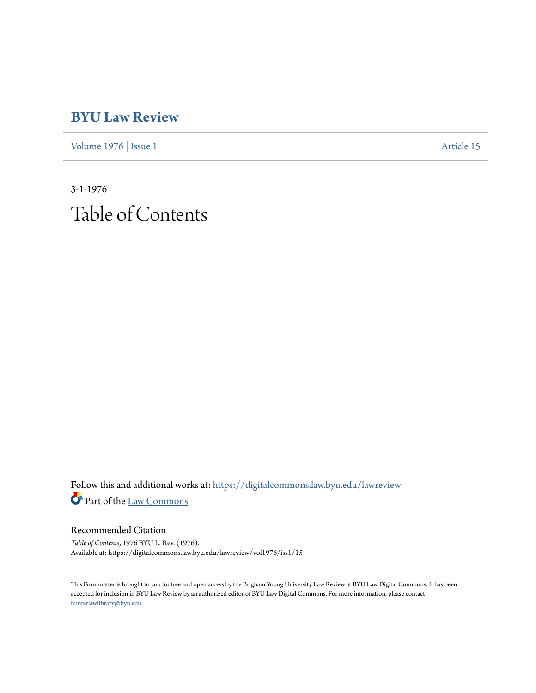## **[BYU Law Review](https://digitalcommons.law.byu.edu/lawreview?utm_source=digitalcommons.law.byu.edu%2Flawreview%2Fvol1976%2Fiss1%2F15&utm_medium=PDF&utm_campaign=PDFCoverPages)**

[Volume 1976](https://digitalcommons.law.byu.edu/lawreview/vol1976?utm_source=digitalcommons.law.byu.edu%2Flawreview%2Fvol1976%2Fiss1%2F15&utm_medium=PDF&utm_campaign=PDFCoverPages) | [Issue 1](https://digitalcommons.law.byu.edu/lawreview/vol1976/iss1?utm_source=digitalcommons.law.byu.edu%2Flawreview%2Fvol1976%2Fiss1%2F15&utm_medium=PDF&utm_campaign=PDFCoverPages) [Article 15](https://digitalcommons.law.byu.edu/lawreview/vol1976/iss1/15?utm_source=digitalcommons.law.byu.edu%2Flawreview%2Fvol1976%2Fiss1%2F15&utm_medium=PDF&utm_campaign=PDFCoverPages)

3-1-1976 Table of Contents

Follow this and additional works at: [https://digitalcommons.law.byu.edu/lawreview](https://digitalcommons.law.byu.edu/lawreview?utm_source=digitalcommons.law.byu.edu%2Flawreview%2Fvol1976%2Fiss1%2F15&utm_medium=PDF&utm_campaign=PDFCoverPages) Part of the [Law Commons](http://network.bepress.com/hgg/discipline/578?utm_source=digitalcommons.law.byu.edu%2Flawreview%2Fvol1976%2Fiss1%2F15&utm_medium=PDF&utm_campaign=PDFCoverPages)

Recommended Citation

*Table of Contents*, 1976 BYU L. Rev. (1976). Available at: https://digitalcommons.law.byu.edu/lawreview/vol1976/iss1/15

This Frontmatter is brought to you for free and open access by the Brigham Young University Law Review at BYU Law Digital Commons. It has been accepted for inclusion in BYU Law Review by an authorized editor of BYU Law Digital Commons. For more information, please contact [hunterlawlibrary@byu.edu.](mailto:hunterlawlibrary@byu.edu)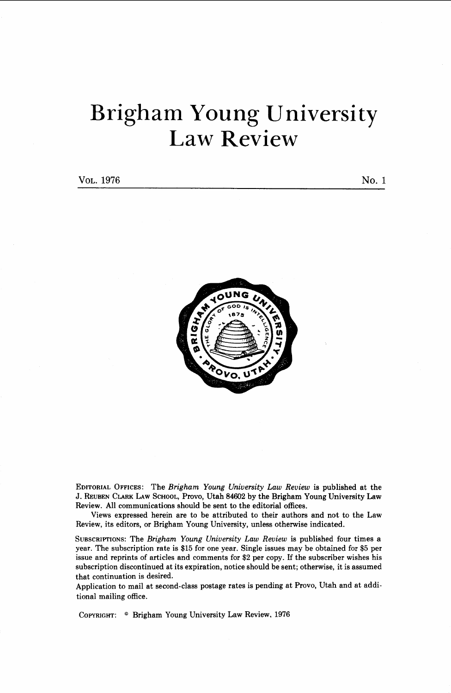## Brigham Young University Law Review

| No. 1 |
|-------|



EDITORIAL OFFICES: The *Brigham Young University Law Review* is published at the J. REUBEN CLARK LAW SCHOOL, Provo, Utah 84602 by the Brigham Young University Law Review. All communications should be sent to the editorial offices.

Views expressed herein are to be attributed to their authors and not to the Law Review, its editors, or Brigham Young University, unless otherwise indicated.

SUBSCRIPTIONS: The *Brigham Young University Law Review* is published four times a year. The subscription rate is \$15 for one year. Single issues may be obtained for \$5 per issue and reprints of articles and comments for \$2 per copy. If the subscriber wishes his subscription discontinued at its expiration, notice should be sent; otherwise, it is assumed that continuation is desired.

Application to mail at second-class postage rates is pending at Provo, Utah and at additional mailing office.

COPYRIGHT: @ Brigham Young University Law Review, 1976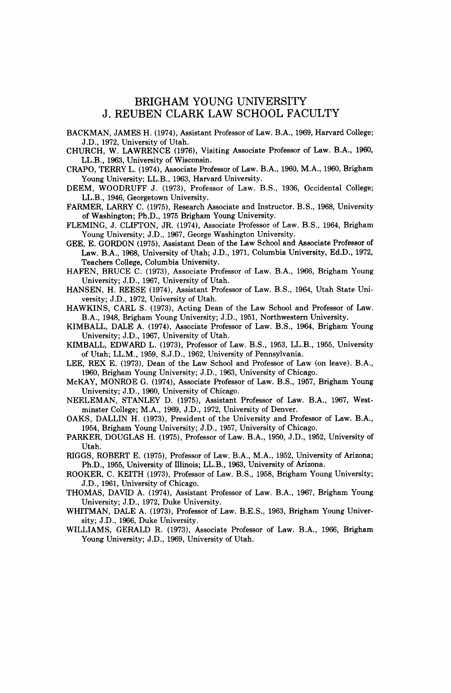### BRIGHAM YOUNG UNIVERSITY J. REUBEN CLARK LAW SCHOOL FACULTY

BACKMAN, JAMES H. (1974), Assistant Professor of Law. B.A., 1969, Harvard College; J.D., 1972, University of Utah.

CHURCH, W. LAWRENCE (1976), Visiting Associate Professor of Law. B.A., 1960, LL.B., 1963, University of Wisconsin.

CRAPO, TERRY L. (1974), Associate Professor of Law. B.A., 1960, M.A., 1960, Brigham Young University; LL.B., 1963, Harvard University.

DEEM, WOODRUFF J. (1973), Professor of Law. B.S., 1936, Occidental College; LL.B., 1946, Georgetown University.

FARMER, LARRY C. (1975), Research Associate and Instructor. B.S., 1968, University of Washington; Ph.D., 1975 Brigham Young University.

FLEMING, J. CLIFTON, JR. (1974), Associate Professor of Law. B.S., 1964, Brigham Young University; J.D., 1967, George Washington University.

GEE, E. GORDON (1975), Assistant Dean of the Law School and Associate Professor of Law. B.A., 1968, University of Utah; J.D., 1971, Columbia University, Ed.D., 1972, Teachers College, Columbia University.

HAFEN, BRUCE C. (1973), Associate Professor of Law. B.A., 1966, Brigham Young University; J.D., 1967, University of Utah.

HANSEN, H. REESE (1974), Assistant Professor of Law. B.S., 1964, Utah State University; J.D., 1972, University of Utah.

HAWKINS, CARL S. (1973), Acting Dean of the Law School and Professor of Law. B.A., 1948, Brigham Young University; J.D., 1951, Northwestern University.

KIMBALL, DALE A. (1974), Associate Professor of Law. B.S., 1964, Brigham Young University; J.D., 1967, University of Utah.

KIMBALL, EDWARD L. (1973), Professor of Law. B.S., 1953, LL.B., 1955, University of Utah; LL.M., 1959, S.J.D., 1962, University of Pennsylvania.

LEE, REX E. (1973), Dean of the Law School and Professor of Law (on leave). B.A., 1960, Brigham Young University; J.D., 1963, University of Chicago.

McKAY, MONROE G. (1974), Associate Professor of Law. B.S., 1957, Brigham Young University; J.D., 1960, University of Chicago.

NEELEMAN, STANLEY D. (1975), Assistant Professor of Law. B.A., 1967, Westminster College; M.A., 1969, J.D., 1972, University of Denver.

OAKS, DALLIN H. (1973), President of the University and Professor of Law. B.A., 1954, Brigham Young University; J.D., 1957, University of Chicago.

PARKER, DOUGLAS H. (1975), Professor of Law. B.A., 1950, J.D., 1952, University of Utah.

RIGGS, ROBERT E. (1975), Professor of Law. B.A., M.A., 1952, University of Arizona; Ph.D., 1955, University of Illinois; LL.B., 1963, University of Arizona.

ROOKER, C. KEITH (1973), Professor of Law. B.S., 1958, Brigham Young University; J.D., 1961, University of Chicago.

THOMAS, DAVID A. (1974), Assistant Professor of Law. B.A., 1967, Brigham Young University; J.D., 1972, Duke University.

WHITMAN, DALE A. (1973), Professor of Law. B.E.S., 1963, Brigham Young University; J.D., 1966, Duke University.

WILLIAMS, GERALD R. (1973), Associate Professor of Law. B.A., 1966, Brigham Young University; J.D., 1969, University of Utah.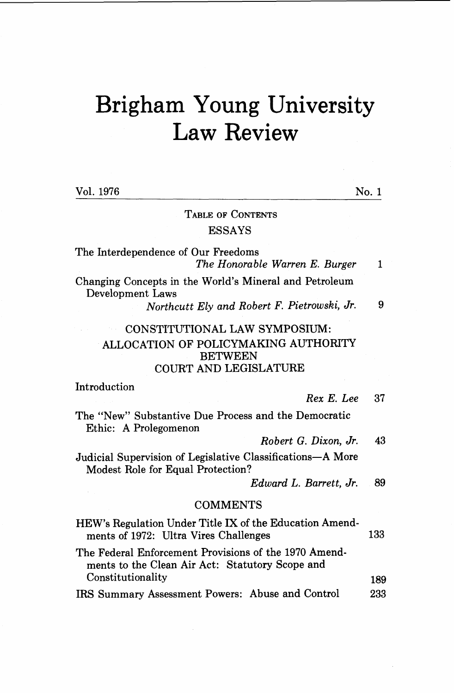# Brigham Young University Law Review

| Vol. 1976                                                                                                               | No. 1 |
|-------------------------------------------------------------------------------------------------------------------------|-------|
| <b>TABLE OF CONTENTS</b>                                                                                                |       |
| <b>ESSAYS</b>                                                                                                           |       |
| The Interdependence of Our Freedoms<br>The Honorable Warren E. Burger                                                   | 1     |
| Changing Concepts in the World's Mineral and Petroleum<br>Development Laws                                              |       |
| Northcutt Ely and Robert F. Pietrowski, Jr.                                                                             | 9     |
| CONSTITUTIONAL LAW SYMPOSIUM:<br>ALLOCATION OF POLICYMAKING AUTHORITY<br><b>BETWEEN</b><br><b>COURT AND LEGISLATURE</b> |       |
| Introduction<br>Rex E. Lee                                                                                              | 37    |
| The "New" Substantive Due Process and the Democratic<br>Ethic: A Prolegomenon                                           |       |
| Robert G. Dixon, Jr.                                                                                                    | 43    |
| Judicial Supervision of Legislative Classifications-A More<br>Modest Role for Equal Protection?                         |       |
| Edward L. Barrett, Jr.                                                                                                  | 89    |
| <b>COMMENTS</b>                                                                                                         |       |
| HEW's Regulation Under Title IX of the Education Amend-<br>ments of 1972: Ultra Vires Challenges                        | 133   |
| The Federal Enforcement Provisions of the 1970 Amend-<br>ments to the Clean Air Act: Statutory Scope and                |       |
| Constitutionality                                                                                                       | 189   |
| IRS Summary Assessment Powers: Abuse and Control                                                                        | 233   |